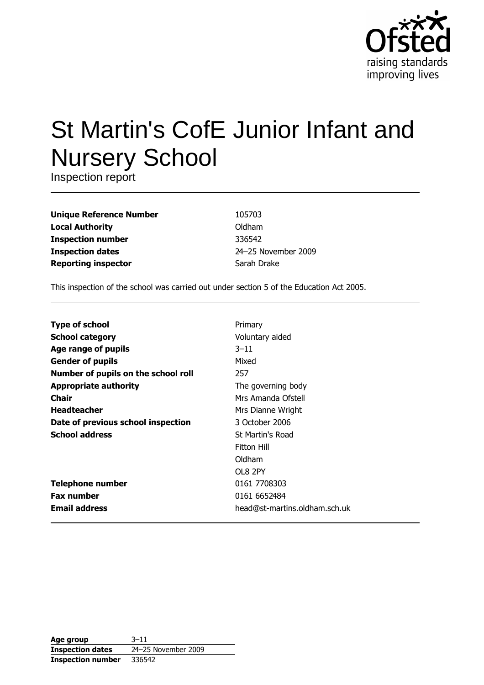

# St Martin's CofE Junior Infant and **Nursery School**

Inspection report

**Unique Reference Number Local Authority Inspection number Inspection dates Reporting inspector** 

105703 Oldham 336542 24-25 November 2009 Sarah Drake

This inspection of the school was carried out under section 5 of the Education Act 2005.

| <b>Type of school</b>               | Primary                       |
|-------------------------------------|-------------------------------|
| <b>School category</b>              | Voluntary aided               |
| Age range of pupils                 | $3 - 11$                      |
| <b>Gender of pupils</b>             | Mixed                         |
| Number of pupils on the school roll | 257                           |
| <b>Appropriate authority</b>        | The governing body            |
| Chair                               | Mrs Amanda Ofstell            |
| <b>Headteacher</b>                  | Mrs Dianne Wright             |
| Date of previous school inspection  | 3 October 2006                |
| <b>School address</b>               | St Martin's Road              |
|                                     | Fitton Hill                   |
|                                     | Oldham                        |
|                                     | OL8 2PY                       |
| <b>Telephone number</b>             | 0161 7708303                  |
| <b>Fax number</b>                   | 0161 6652484                  |
| <b>Email address</b>                | head@st-martins.oldham.sch.uk |

| Age group                | $3 - 11$            |
|--------------------------|---------------------|
| <b>Inspection dates</b>  | 24-25 November 2009 |
| <b>Inspection number</b> | 336542              |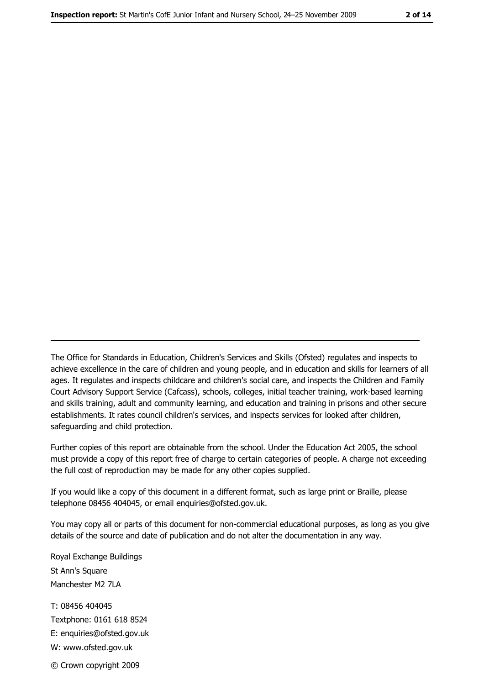The Office for Standards in Education, Children's Services and Skills (Ofsted) regulates and inspects to achieve excellence in the care of children and young people, and in education and skills for learners of all ages. It regulates and inspects childcare and children's social care, and inspects the Children and Family Court Advisory Support Service (Cafcass), schools, colleges, initial teacher training, work-based learning and skills training, adult and community learning, and education and training in prisons and other secure establishments. It rates council children's services, and inspects services for looked after children, safequarding and child protection.

Further copies of this report are obtainable from the school. Under the Education Act 2005, the school must provide a copy of this report free of charge to certain categories of people. A charge not exceeding the full cost of reproduction may be made for any other copies supplied.

If you would like a copy of this document in a different format, such as large print or Braille, please telephone 08456 404045, or email enquiries@ofsted.gov.uk.

You may copy all or parts of this document for non-commercial educational purposes, as long as you give details of the source and date of publication and do not alter the documentation in any way.

Royal Exchange Buildings St Ann's Square Manchester M2 7LA T: 08456 404045 Textphone: 0161 618 8524 E: enquiries@ofsted.gov.uk W: www.ofsted.gov.uk © Crown copyright 2009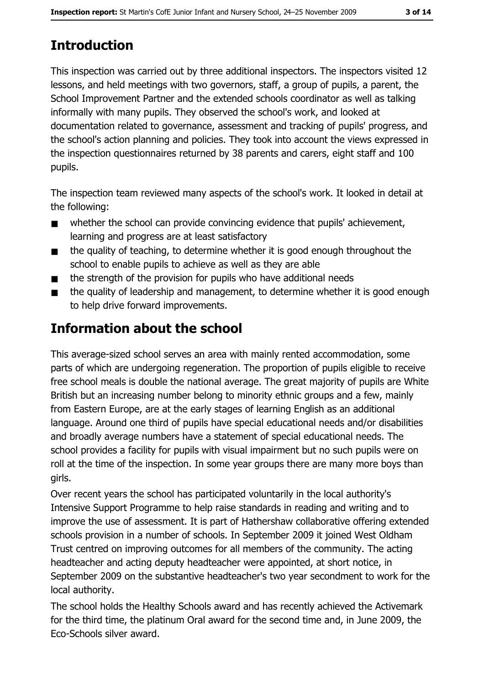This inspection was carried out by three additional inspectors. The inspectors visited 12 lessons, and held meetings with two governors, staff, a group of pupils, a parent, the School Improvement Partner and the extended schools coordinator as well as talking informally with many pupils. They observed the school's work, and looked at documentation related to governance, assessment and tracking of pupils' progress, and the school's action planning and policies. They took into account the views expressed in the inspection questionnaires returned by 38 parents and carers, eight staff and 100 pupils.

The inspection team reviewed many aspects of the school's work. It looked in detail at the following:

- whether the school can provide convincing evidence that pupils' achievement.  $\blacksquare$ learning and progress are at least satisfactory
- the quality of teaching, to determine whether it is good enough throughout the  $\blacksquare$ school to enable pupils to achieve as well as they are able
- the strength of the provision for pupils who have additional needs  $\blacksquare$
- the quality of leadership and management, to determine whether it is good enough  $\blacksquare$ to help drive forward improvements.

# Information about the school

This average-sized school serves an area with mainly rented accommodation, some parts of which are undergoing regeneration. The proportion of pupils eligible to receive free school meals is double the national average. The great majority of pupils are White British but an increasing number belong to minority ethnic groups and a few, mainly from Eastern Europe, are at the early stages of learning English as an additional language. Around one third of pupils have special educational needs and/or disabilities and broadly average numbers have a statement of special educational needs. The school provides a facility for pupils with visual impairment but no such pupils were on roll at the time of the inspection. In some year groups there are many more boys than girls.

Over recent years the school has participated voluntarily in the local authority's Intensive Support Programme to help raise standards in reading and writing and to improve the use of assessment. It is part of Hathershaw collaborative offering extended schools provision in a number of schools. In September 2009 it joined West Oldham Trust centred on improving outcomes for all members of the community. The acting headteacher and acting deputy headteacher were appointed, at short notice, in September 2009 on the substantive headteacher's two year secondment to work for the local authority.

The school holds the Healthy Schools award and has recently achieved the Activemark for the third time, the platinum Oral award for the second time and, in June 2009, the Eco-Schools silver award.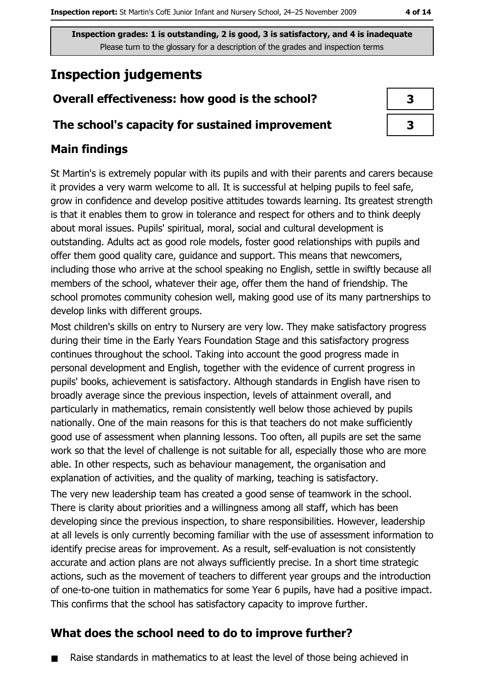# **Inspection judgements**

# Overall effectiveness: how good is the school?

#### The school's capacity for sustained improvement

# **Main findings**

St Martin's is extremely popular with its pupils and with their parents and carers because it provides a very warm welcome to all. It is successful at helping pupils to feel safe, grow in confidence and develop positive attitudes towards learning. Its greatest strength is that it enables them to grow in tolerance and respect for others and to think deeply about moral issues. Pupils' spiritual, moral, social and cultural development is outstanding. Adults act as good role models, foster good relationships with pupils and offer them good quality care, guidance and support. This means that newcomers, including those who arrive at the school speaking no English, settle in swiftly because all members of the school, whatever their age, offer them the hand of friendship. The school promotes community cohesion well, making good use of its many partnerships to develop links with different groups.

Most children's skills on entry to Nursery are very low. They make satisfactory progress during their time in the Early Years Foundation Stage and this satisfactory progress continues throughout the school. Taking into account the good progress made in personal development and English, together with the evidence of current progress in pupils' books, achievement is satisfactory. Although standards in English have risen to broadly average since the previous inspection, levels of attainment overall, and particularly in mathematics, remain consistently well below those achieved by pupils nationally. One of the main reasons for this is that teachers do not make sufficiently good use of assessment when planning lessons. Too often, all pupils are set the same work so that the level of challenge is not suitable for all, especially those who are more able. In other respects, such as behaviour management, the organisation and explanation of activities, and the quality of marking, teaching is satisfactory.

The very new leadership team has created a good sense of teamwork in the school. There is clarity about priorities and a willingness among all staff, which has been developing since the previous inspection, to share responsibilities. However, leadership at all levels is only currently becoming familiar with the use of assessment information to identify precise areas for improvement. As a result, self-evaluation is not consistently accurate and action plans are not always sufficiently precise. In a short time strategic actions, such as the movement of teachers to different year groups and the introduction of one-to-one tuition in mathematics for some Year 6 pupils, have had a positive impact. This confirms that the school has satisfactory capacity to improve further.

# What does the school need to do to improve further?

Raise standards in mathematics to at least the level of those being achieved in

| 3 |  |
|---|--|
| 3 |  |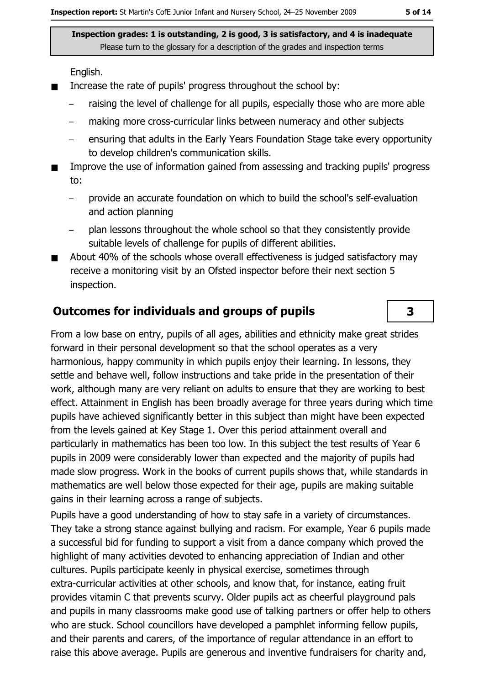English.

- Increase the rate of pupils' progress throughout the school by:  $\blacksquare$ 
	- raising the level of challenge for all pupils, especially those who are more able
	- making more cross-curricular links between numeracy and other subjects
	- ensuring that adults in the Early Years Foundation Stage take every opportunity to develop children's communication skills.
- Improve the use of information gained from assessing and tracking pupils' progress to:
	- provide an accurate foundation on which to build the school's self-evaluation  $\equiv$ and action planning
	- plan lessons throughout the whole school so that they consistently provide suitable levels of challenge for pupils of different abilities.
- About 40% of the schools whose overall effectiveness is judged satisfactory may receive a monitoring visit by an Ofsted inspector before their next section 5 inspection.

#### **Outcomes for individuals and groups of pupils**

From a low base on entry, pupils of all ages, abilities and ethnicity make great strides forward in their personal development so that the school operates as a very harmonious, happy community in which pupils enjoy their learning. In lessons, they settle and behave well, follow instructions and take pride in the presentation of their work, although many are very reliant on adults to ensure that they are working to best effect. Attainment in English has been broadly average for three years during which time pupils have achieved significantly better in this subject than might have been expected from the levels gained at Key Stage 1. Over this period attainment overall and particularly in mathematics has been too low. In this subject the test results of Year 6 pupils in 2009 were considerably lower than expected and the majority of pupils had made slow progress. Work in the books of current pupils shows that, while standards in mathematics are well below those expected for their age, pupils are making suitable gains in their learning across a range of subjects.

Pupils have a good understanding of how to stay safe in a variety of circumstances. They take a strong stance against bullying and racism. For example, Year 6 pupils made a successful bid for funding to support a visit from a dance company which proved the highlight of many activities devoted to enhancing appreciation of Indian and other cultures. Pupils participate keenly in physical exercise, sometimes through extra-curricular activities at other schools, and know that, for instance, eating fruit provides vitamin C that prevents scurvy. Older pupils act as cheerful playground pals and pupils in many classrooms make good use of talking partners or offer help to others who are stuck. School councillors have developed a pamphlet informing fellow pupils, and their parents and carers, of the importance of regular attendance in an effort to raise this above average. Pupils are generous and inventive fundraisers for charity and,

3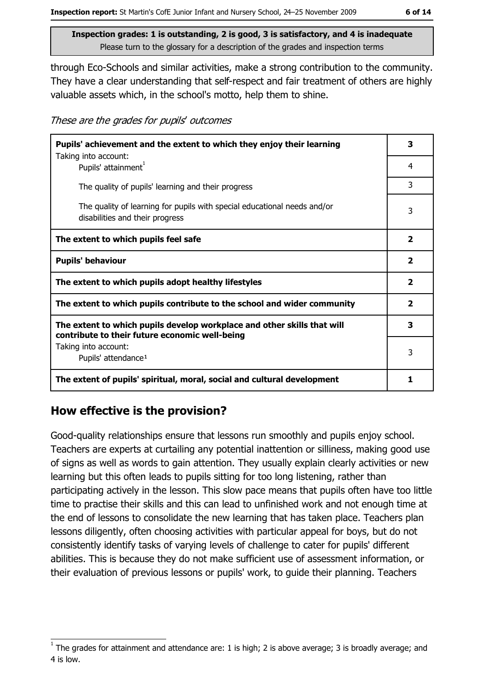through Eco-Schools and similar activities, make a strong contribution to the community. They have a clear understanding that self-respect and fair treatment of others are highly valuable assets which, in the school's motto, help them to shine.

These are the grades for pupils' outcomes

| Pupils' achievement and the extent to which they enjoy their learning                                                     |                         |
|---------------------------------------------------------------------------------------------------------------------------|-------------------------|
| Taking into account:<br>Pupils' attainment <sup>1</sup>                                                                   | 4                       |
| The quality of pupils' learning and their progress                                                                        | 3                       |
| The quality of learning for pupils with special educational needs and/or<br>disabilities and their progress               | 3                       |
| The extent to which pupils feel safe                                                                                      | $\mathbf{2}$            |
| <b>Pupils' behaviour</b>                                                                                                  | $\overline{\mathbf{2}}$ |
| The extent to which pupils adopt healthy lifestyles                                                                       | $\overline{\mathbf{2}}$ |
| The extent to which pupils contribute to the school and wider community                                                   |                         |
| The extent to which pupils develop workplace and other skills that will<br>contribute to their future economic well-being | 3                       |
| Taking into account:<br>Pupils' attendance <sup>1</sup>                                                                   | 3                       |
|                                                                                                                           | 1                       |
| The extent of pupils' spiritual, moral, social and cultural development                                                   |                         |

#### How effective is the provision?

Good-quality relationships ensure that lessons run smoothly and pupils enjoy school. Teachers are experts at curtailing any potential inattention or silliness, making good use of signs as well as words to gain attention. They usually explain clearly activities or new learning but this often leads to pupils sitting for too long listening, rather than participating actively in the lesson. This slow pace means that pupils often have too little time to practise their skills and this can lead to unfinished work and not enough time at the end of lessons to consolidate the new learning that has taken place. Teachers plan lessons diligently, often choosing activities with particular appeal for boys, but do not consistently identify tasks of varying levels of challenge to cater for pupils' different abilities. This is because they do not make sufficient use of assessment information, or their evaluation of previous lessons or pupils' work, to guide their planning. Teachers

The grades for attainment and attendance are: 1 is high; 2 is above average; 3 is broadly average; and 4 is low.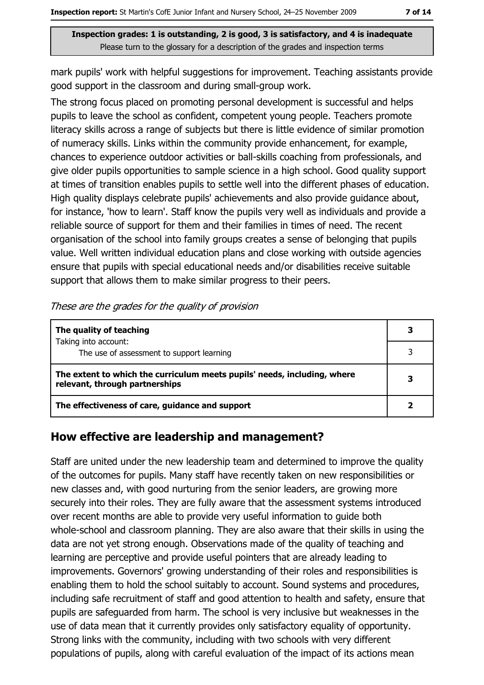mark pupils' work with helpful suggestions for improvement. Teaching assistants provide good support in the classroom and during small-group work.

The strong focus placed on promoting personal development is successful and helps pupils to leave the school as confident, competent young people. Teachers promote literacy skills across a range of subjects but there is little evidence of similar promotion of numeracy skills. Links within the community provide enhancement, for example, chances to experience outdoor activities or ball-skills coaching from professionals, and give older pupils opportunities to sample science in a high school. Good quality support at times of transition enables pupils to settle well into the different phases of education. High quality displays celebrate pupils' achievements and also provide guidance about, for instance, 'how to learn'. Staff know the pupils very well as individuals and provide a reliable source of support for them and their families in times of need. The recent organisation of the school into family groups creates a sense of belonging that pupils value. Well written individual education plans and close working with outside agencies ensure that pupils with special educational needs and/or disabilities receive suitable support that allows them to make similar progress to their peers.

| The quality of teaching                                                                                    |  |
|------------------------------------------------------------------------------------------------------------|--|
| Taking into account:                                                                                       |  |
| The use of assessment to support learning                                                                  |  |
| The extent to which the curriculum meets pupils' needs, including, where<br>relevant, through partnerships |  |
| The effectiveness of care, guidance and support                                                            |  |

These are the grades for the quality of provision

#### How effective are leadership and management?

Staff are united under the new leadership team and determined to improve the quality of the outcomes for pupils. Many staff have recently taken on new responsibilities or new classes and, with good nurturing from the senior leaders, are growing more securely into their roles. They are fully aware that the assessment systems introduced over recent months are able to provide very useful information to guide both whole-school and classroom planning. They are also aware that their skills in using the data are not yet strong enough. Observations made of the quality of teaching and learning are perceptive and provide useful pointers that are already leading to improvements. Governors' growing understanding of their roles and responsibilities is enabling them to hold the school suitably to account. Sound systems and procedures, including safe recruitment of staff and good attention to health and safety, ensure that pupils are safequarded from harm. The school is very inclusive but weaknesses in the use of data mean that it currently provides only satisfactory equality of opportunity. Strong links with the community, including with two schools with very different populations of pupils, along with careful evaluation of the impact of its actions mean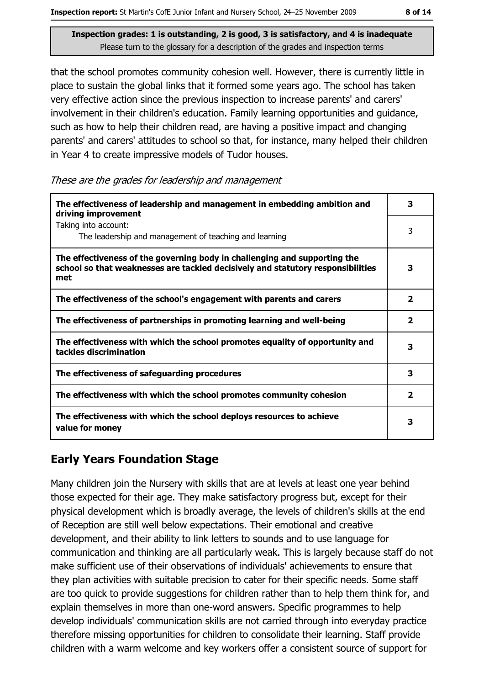that the school promotes community cohesion well. However, there is currently little in place to sustain the global links that it formed some years ago. The school has taken very effective action since the previous inspection to increase parents' and carers' involvement in their children's education. Family learning opportunities and guidance, such as how to help their children read, are having a positive impact and changing parents' and carers' attitudes to school so that, for instance, many helped their children in Year 4 to create impressive models of Tudor houses.

These are the grades for leadership and management

| The effectiveness of leadership and management in embedding ambition and<br>driving improvement                                                                     | 3                       |
|---------------------------------------------------------------------------------------------------------------------------------------------------------------------|-------------------------|
| Taking into account:<br>The leadership and management of teaching and learning                                                                                      | 3                       |
| The effectiveness of the governing body in challenging and supporting the<br>school so that weaknesses are tackled decisively and statutory responsibilities<br>met | 3                       |
| The effectiveness of the school's engagement with parents and carers                                                                                                | $\overline{\mathbf{2}}$ |
| The effectiveness of partnerships in promoting learning and well-being                                                                                              | 2                       |
| The effectiveness with which the school promotes equality of opportunity and<br>tackles discrimination                                                              | 3                       |
| The effectiveness of safeguarding procedures                                                                                                                        | 3                       |
| The effectiveness with which the school promotes community cohesion                                                                                                 | $\overline{\mathbf{2}}$ |
| The effectiveness with which the school deploys resources to achieve<br>value for money                                                                             | 3                       |

# **Early Years Foundation Stage**

Many children join the Nursery with skills that are at levels at least one year behind those expected for their age. They make satisfactory progress but, except for their physical development which is broadly average, the levels of children's skills at the end of Reception are still well below expectations. Their emotional and creative development, and their ability to link letters to sounds and to use language for communication and thinking are all particularly weak. This is largely because staff do not make sufficient use of their observations of individuals' achievements to ensure that they plan activities with suitable precision to cater for their specific needs. Some staff are too quick to provide suggestions for children rather than to help them think for, and explain themselves in more than one-word answers. Specific programmes to help develop individuals' communication skills are not carried through into everyday practice therefore missing opportunities for children to consolidate their learning. Staff provide children with a warm welcome and key workers offer a consistent source of support for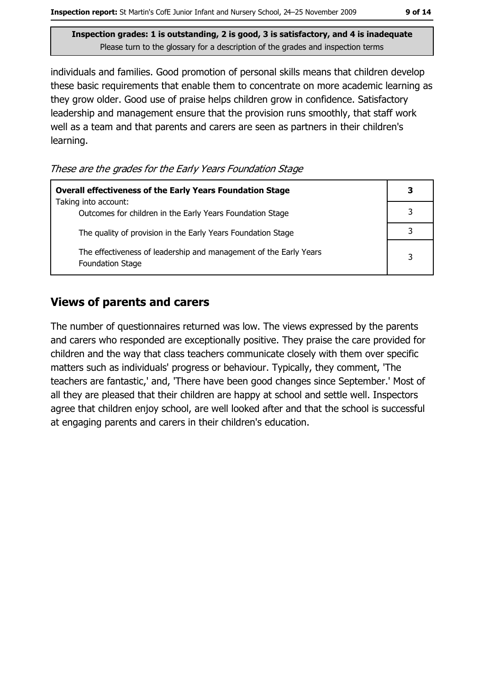individuals and families. Good promotion of personal skills means that children develop these basic requirements that enable them to concentrate on more academic learning as they grow older. Good use of praise helps children grow in confidence. Satisfactory leadership and management ensure that the provision runs smoothly, that staff work well as a team and that parents and carers are seen as partners in their children's learning.

These are the grades for the Early Years Foundation Stage

| <b>Overall effectiveness of the Early Years Foundation Stage</b>                             | 3 |
|----------------------------------------------------------------------------------------------|---|
| Taking into account:<br>Outcomes for children in the Early Years Foundation Stage            |   |
| The quality of provision in the Early Years Foundation Stage                                 |   |
| The effectiveness of leadership and management of the Early Years<br><b>Foundation Stage</b> | 3 |

#### **Views of parents and carers**

The number of questionnaires returned was low. The views expressed by the parents and carers who responded are exceptionally positive. They praise the care provided for children and the way that class teachers communicate closely with them over specific matters such as individuals' progress or behaviour. Typically, they comment, 'The teachers are fantastic,' and, 'There have been good changes since September.' Most of all they are pleased that their children are happy at school and settle well. Inspectors agree that children enjoy school, are well looked after and that the school is successful at engaging parents and carers in their children's education.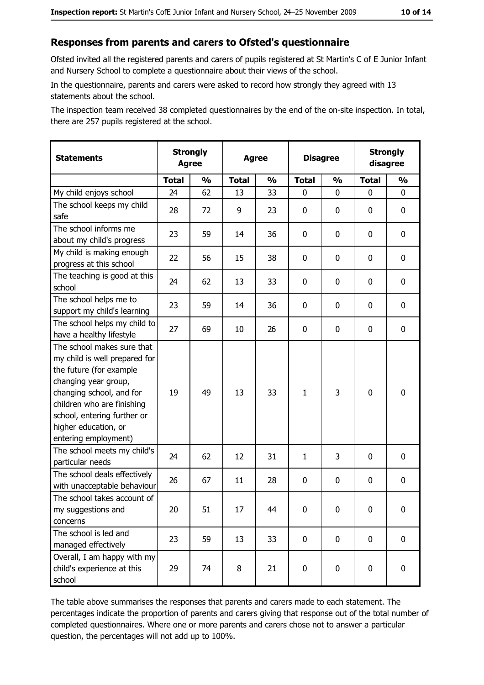#### Responses from parents and carers to Ofsted's questionnaire

Ofsted invited all the registered parents and carers of pupils registered at St Martin's C of E Junior Infant and Nursery School to complete a questionnaire about their views of the school.

In the questionnaire, parents and carers were asked to record how strongly they agreed with 13 statements about the school.

The inspection team received 38 completed questionnaires by the end of the on-site inspection. In total, there are 257 pupils registered at the school.

| <b>Statements</b>                                                                                                                                                                                                                                       | <b>Strongly</b><br><b>Agree</b> |               | <b>Agree</b> |               | <b>Disagree</b> |               | <b>Strongly</b><br>disagree |               |
|---------------------------------------------------------------------------------------------------------------------------------------------------------------------------------------------------------------------------------------------------------|---------------------------------|---------------|--------------|---------------|-----------------|---------------|-----------------------------|---------------|
|                                                                                                                                                                                                                                                         | <b>Total</b>                    | $\frac{1}{2}$ | <b>Total</b> | $\frac{1}{2}$ | <b>Total</b>    | $\frac{0}{0}$ | <b>Total</b>                | $\frac{1}{2}$ |
| My child enjoys school                                                                                                                                                                                                                                  | 24                              | 62            | 13           | 33            | 0               | 0             | $\Omega$                    | 0             |
| The school keeps my child<br>safe                                                                                                                                                                                                                       | 28                              | 72            | 9            | 23            | 0               | 0             | 0                           | 0             |
| The school informs me<br>about my child's progress                                                                                                                                                                                                      | 23                              | 59            | 14           | 36            | 0               | 0             | 0                           | $\mathbf 0$   |
| My child is making enough<br>progress at this school                                                                                                                                                                                                    | 22                              | 56            | 15           | 38            | 0               | 0             | 0                           | 0             |
| The teaching is good at this<br>school                                                                                                                                                                                                                  | 24                              | 62            | 13           | 33            | 0               | 0             | 0                           | 0             |
| The school helps me to<br>support my child's learning                                                                                                                                                                                                   | 23                              | 59            | 14           | 36            | 0               | 0             | 0                           | 0             |
| The school helps my child to<br>have a healthy lifestyle                                                                                                                                                                                                | 27                              | 69            | 10           | 26            | $\mathbf 0$     | 0             | 0                           | 0             |
| The school makes sure that<br>my child is well prepared for<br>the future (for example<br>changing year group,<br>changing school, and for<br>children who are finishing<br>school, entering further or<br>higher education, or<br>entering employment) | 19                              | 49            | 13           | 33            | $\mathbf{1}$    | 3             | $\mathbf 0$                 | $\mathbf 0$   |
| The school meets my child's<br>particular needs                                                                                                                                                                                                         | 24                              | 62            | 12           | 31            | $\mathbf{1}$    | 3             | 0                           | 0             |
| The school deals effectively<br>with unacceptable behaviour                                                                                                                                                                                             | 26                              | 67            | 11           | 28            | $\mathbf 0$     | 0             | 0                           | $\mathbf 0$   |
| The school takes account of<br>my suggestions and<br>concerns                                                                                                                                                                                           | 20                              | 51            | 17           | 44            | $\mathbf 0$     | 0             | 0                           | 0             |
| The school is led and<br>managed effectively                                                                                                                                                                                                            | 23                              | 59            | 13           | 33            | $\mathbf 0$     | 0             | $\bf{0}$                    | $\mathbf 0$   |
| Overall, I am happy with my<br>child's experience at this<br>school                                                                                                                                                                                     | 29                              | 74            | 8            | 21            | $\mathbf 0$     | 0             | $\mathbf 0$                 | $\mathbf 0$   |

The table above summarises the responses that parents and carers made to each statement. The percentages indicate the proportion of parents and carers giving that response out of the total number of completed questionnaires. Where one or more parents and carers chose not to answer a particular question, the percentages will not add up to 100%.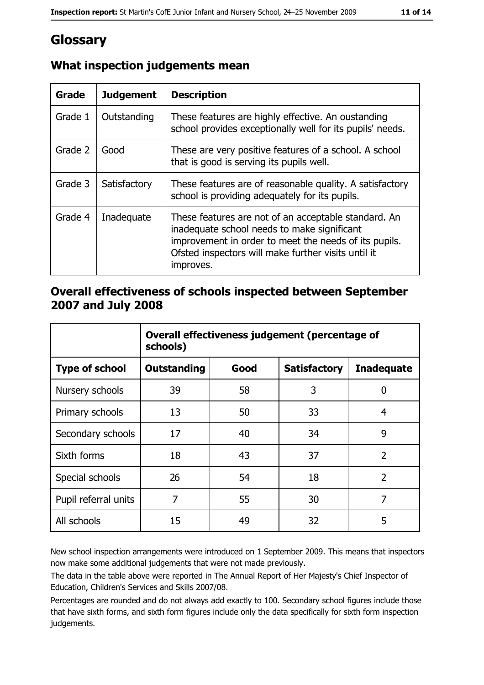# Glossary

| Grade   | <b>Judgement</b> | <b>Description</b>                                                                                                                                                                                                               |
|---------|------------------|----------------------------------------------------------------------------------------------------------------------------------------------------------------------------------------------------------------------------------|
| Grade 1 | Outstanding      | These features are highly effective. An oustanding<br>school provides exceptionally well for its pupils' needs.                                                                                                                  |
| Grade 2 | Good             | These are very positive features of a school. A school<br>that is good is serving its pupils well.                                                                                                                               |
| Grade 3 | Satisfactory     | These features are of reasonable quality. A satisfactory<br>school is providing adequately for its pupils.                                                                                                                       |
| Grade 4 | Inadequate       | These features are not of an acceptable standard. An<br>inadequate school needs to make significant<br>improvement in order to meet the needs of its pupils.<br>Ofsted inspectors will make further visits until it<br>improves. |

### What inspection judgements mean

#### Overall effectiveness of schools inspected between September 2007 and July 2008

|                       | Overall effectiveness judgement (percentage of<br>schools) |      |                     |                   |
|-----------------------|------------------------------------------------------------|------|---------------------|-------------------|
| <b>Type of school</b> | Outstanding                                                | Good | <b>Satisfactory</b> | <b>Inadequate</b> |
| Nursery schools       | 39                                                         | 58   | 3                   | 0                 |
| Primary schools       | 13                                                         | 50   | 33                  | 4                 |
| Secondary schools     | 17                                                         | 40   | 34                  | 9                 |
| Sixth forms           | 18                                                         | 43   | 37                  | $\overline{2}$    |
| Special schools       | 26                                                         | 54   | 18                  | $\overline{2}$    |
| Pupil referral units  | 7                                                          | 55   | 30                  | 7                 |
| All schools           | 15                                                         | 49   | 32                  | 5                 |

New school inspection arrangements were introduced on 1 September 2009. This means that inspectors now make some additional judgements that were not made previously.

The data in the table above were reported in The Annual Report of Her Majesty's Chief Inspector of Education, Children's Services and Skills 2007/08.

Percentages are rounded and do not always add exactly to 100. Secondary school figures include those that have sixth forms, and sixth form figures include only the data specifically for sixth form inspection judgements.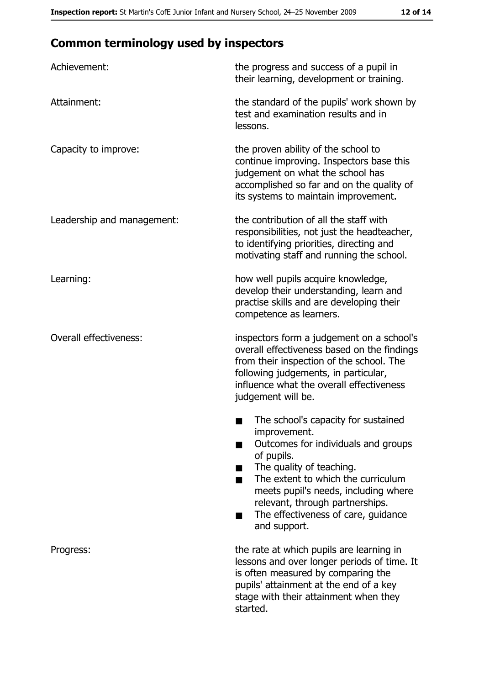# **Common terminology used by inspectors**

| Achievement:                  | the progress and success of a pupil in<br>their learning, development or training.                                                                                                                                                                                                                           |
|-------------------------------|--------------------------------------------------------------------------------------------------------------------------------------------------------------------------------------------------------------------------------------------------------------------------------------------------------------|
| Attainment:                   | the standard of the pupils' work shown by<br>test and examination results and in<br>lessons.                                                                                                                                                                                                                 |
| Capacity to improve:          | the proven ability of the school to<br>continue improving. Inspectors base this<br>judgement on what the school has<br>accomplished so far and on the quality of<br>its systems to maintain improvement.                                                                                                     |
| Leadership and management:    | the contribution of all the staff with<br>responsibilities, not just the headteacher,<br>to identifying priorities, directing and<br>motivating staff and running the school.                                                                                                                                |
| Learning:                     | how well pupils acquire knowledge,<br>develop their understanding, learn and<br>practise skills and are developing their<br>competence as learners.                                                                                                                                                          |
| <b>Overall effectiveness:</b> | inspectors form a judgement on a school's<br>overall effectiveness based on the findings<br>from their inspection of the school. The<br>following judgements, in particular,<br>influence what the overall effectiveness<br>judgement will be.                                                               |
|                               | The school's capacity for sustained<br>improvement.<br>Outcomes for individuals and groups<br>of pupils.<br>The quality of teaching.<br>The extent to which the curriculum<br>meets pupil's needs, including where<br>relevant, through partnerships.<br>The effectiveness of care, guidance<br>and support. |
| Progress:                     | the rate at which pupils are learning in<br>lessons and over longer periods of time. It<br>is often measured by comparing the<br>pupils' attainment at the end of a key<br>stage with their attainment when they<br>started.                                                                                 |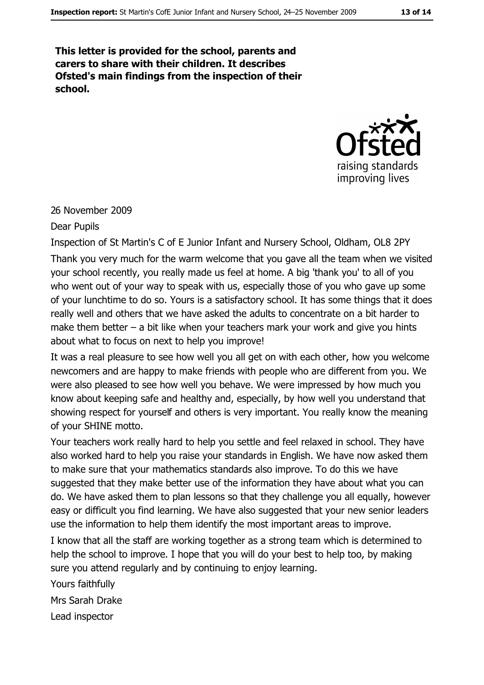This letter is provided for the school, parents and carers to share with their children. It describes Ofsted's main findings from the inspection of their school.



#### 26 November 2009

#### Dear Pupils

Inspection of St Martin's C of E Junior Infant and Nursery School, Oldham, OL8 2PY Thank you very much for the warm welcome that you gave all the team when we visited your school recently, you really made us feel at home. A big 'thank you' to all of you who went out of your way to speak with us, especially those of you who gave up some of your lunchtime to do so. Yours is a satisfactory school. It has some things that it does really well and others that we have asked the adults to concentrate on a bit harder to make them better  $-$  a bit like when your teachers mark your work and give you hints about what to focus on next to help you improve!

It was a real pleasure to see how well you all get on with each other, how you welcome newcomers and are happy to make friends with people who are different from you. We were also pleased to see how well you behave. We were impressed by how much you know about keeping safe and healthy and, especially, by how well you understand that showing respect for yourself and others is very important. You really know the meaning of your SHINE motto.

Your teachers work really hard to help you settle and feel relaxed in school. They have also worked hard to help you raise your standards in English. We have now asked them to make sure that your mathematics standards also improve. To do this we have suggested that they make better use of the information they have about what you can do. We have asked them to plan lessons so that they challenge you all equally, however easy or difficult you find learning. We have also suggested that your new senior leaders use the information to help them identify the most important areas to improve.

I know that all the staff are working together as a strong team which is determined to help the school to improve. I hope that you will do your best to help too, by making sure you attend regularly and by continuing to enjoy learning.

Yours faithfully Mrs Sarah Drake Lead inspector